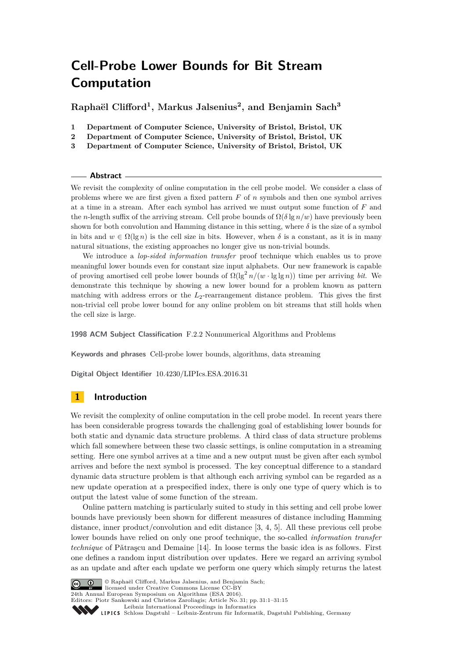# **Cell-Probe Lower Bounds for Bit Stream Computation**

**Raphaël Clifford<sup>1</sup> , Markus Jalsenius<sup>2</sup> , and Benjamin Sach<sup>3</sup>**

- **1 Department of Computer Science, University of Bristol, Bristol, UK**
- **2 Department of Computer Science, University of Bristol, Bristol, UK**
- **3 Department of Computer Science, University of Bristol, Bristol, UK**

## **Abstract**

We revisit the complexity of online computation in the cell probe model. We consider a class of problems where we are first given a fixed pattern *F* of *n* symbols and then one symbol arrives at a time in a stream. After each symbol has arrived we must output some function of *F* and the *n*-length suffix of the arriving stream. Cell probe bounds of  $\Omega(\delta \lg n/w)$  have previously been shown for both convolution and Hamming distance in this setting, where  $\delta$  is the size of a symbol in bits and  $w \in \Omega(\lg n)$  is the cell size in bits. However, when  $\delta$  is a constant, as it is in many natural situations, the existing approaches no longer give us non-trivial bounds.

We introduce a *lop-sided information transfer* proof technique which enables us to prove meaningful lower bounds even for constant size input alphabets. Our new framework is capable of proving amortised cell probe lower bounds of  $\Omega(\lg^2 n/(w \cdot \lg \lg n))$  time per arriving *bit*. We demonstrate this technique by showing a new lower bound for a problem known as pattern matching with address errors or the  $L_2$ -rearrangement distance problem. This gives the first non-trivial cell probe lower bound for any online problem on bit streams that still holds when the cell size is large.

**1998 ACM Subject Classification** F.2.2 Nonnumerical Algorithms and Problems

**Keywords and phrases** Cell-probe lower bounds, algorithms, data streaming

**Digital Object Identifier** [10.4230/LIPIcs.ESA.2016.31](http://dx.doi.org/10.4230/LIPIcs.ESA.2016.31)

# **1 Introduction**

We revisit the complexity of online computation in the cell probe model. In recent years there has been considerable progress towards the challenging goal of establishing lower bounds for both static and dynamic data structure problems. A third class of data structure problems which fall somewhere between these two classic settings, is online computation in a streaming setting. Here one symbol arrives at a time and a new output must be given after each symbol arrives and before the next symbol is processed. The key conceptual difference to a standard dynamic data structure problem is that although each arriving symbol can be regarded as a new update operation at a prespecified index, there is only one type of query which is to output the latest value of some function of the stream.

Online pattern matching is particularly suited to study in this setting and cell probe lower bounds have previously been shown for different measures of distance including Hamming distance, inner product/convolution and edit distance [\[3,](#page-13-0) [4,](#page-13-1) [5\]](#page-13-2). All these previous cell probe lower bounds have relied on only one proof technique, the so-called *information transfer technique* of Pǎtrascu and Demaine [\[14\]](#page-14-0). In loose terms the basic idea is as follows. First one defines a random input distribution over updates. Here we regard an arriving symbol as an update and after each update we perform one query which simply returns the latest



© Raphaël Clifford, Markus Jalsenius, and Benjamin Sach; licensed under Creative Commons License CC-BY 24th Annual European Symposium on Algorithms (ESA 2016).

Editors: Piotr Sankowski and Christos Zaroliagis; Article No. 31; pp. 31:1–31[:15](#page-14-1)

Leibniz International Proceedings in Informatic

Leibniz International Froceedings in Informatik, Dagstuhl Publishing, Germany<br>LIPICS [Schloss Dagstuhl – Leibniz-Zentrum für Informatik, Dagstuhl Publishing, Germany](http://www.dagstuhl.de)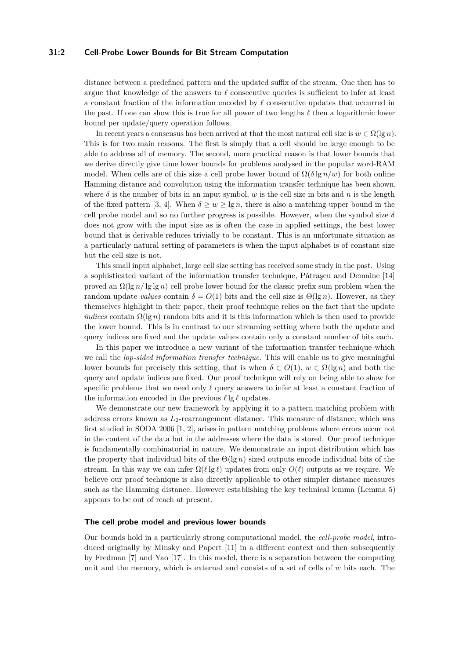# **31:2 Cell-Probe Lower Bounds for Bit Stream Computation**

distance between a predefined pattern and the updated suffix of the stream. One then has to argue that knowledge of the answers to  $\ell$  consecutive queries is sufficient to infer at least a constant fraction of the information encoded by  $\ell$  consecutive updates that occurred in the past. If one can show this is true for all power of two lengths  $\ell$  then a logarithmic lower bound per update/query operation follows.

In recent years a consensus has been arrived at that the most natural cell size is  $w \in \Omega(\lg n)$ . This is for two main reasons. The first is simply that a cell should be large enough to be able to address all of memory. The second, more practical reason is that lower bounds that we derive directly give time lower bounds for problems analysed in the popular word-RAM model. When cells are of this size a cell probe lower bound of  $\Omega(\delta \lg n/w)$  for both online Hamming distance and convolution using the information transfer technique has been shown, where  $\delta$  is the number of bits in an input symbol, *w* is the cell size in bits and *n* is the length of the fixed pattern [\[3,](#page-13-0) [4\]](#page-13-1). When  $\delta > w > \lg n$ , there is also a matching upper bound in the cell probe model and so no further progress is possible. However, when the symbol size  $\delta$ does not grow with the input size as is often the case in applied settings, the best lower bound that is derivable reduces trivially to be constant. This is an unfortunate situation as a particularly natural setting of parameters is when the input alphabet is of constant size but the cell size is not.

This small input alphabet, large cell size setting has received some study in the past. Using a sophisticated variant of the information transfer technique, Pătrașcu and Demaine  $[14]$ proved an Ω(lg *n/* lg lg *n*) cell probe lower bound for the classic prefix sum problem when the random update *values* contain  $\delta = O(1)$  bits and the cell size is  $\Theta(\lg n)$ . However, as they themselves highlight in their paper, their proof technique relies on the fact that the update *indices* contain  $\Omega(\lg n)$  random bits and it is this information which is then used to provide the lower bound. This is in contrast to our streaming setting where both the update and query indices are fixed and the update values contain only a constant number of bits each.

In this paper we introduce a new variant of the information transfer technique which we call the *lop-sided information transfer technique*. This will enable us to give meaningful lower bounds for precisely this setting, that is when  $\delta \in O(1)$ ,  $w \in \Omega(\lg n)$  and both the query and update indices are fixed. Our proof technique will rely on being able to show for specific problems that we need only  $\ell$  query answers to infer at least a constant fraction of the information encoded in the previous  $\ell \lg \ell$  updates.

We demonstrate our new framework by applying it to a pattern matching problem with address errors known as *L*2-rearrangement distance. This measure of distance, which was first studied in SODA 2006 [\[1,](#page-13-3) [2\]](#page-13-4), arises in pattern matching problems where errors occur not in the content of the data but in the addresses where the data is stored. Our proof technique is fundamentally combinatorial in nature. We demonstrate an input distribution which has the property that individual bits of the Θ(lg *n*) sized outputs encode individual bits of the stream. In this way we can infer  $\Omega(\ell | g \ell)$  updates from only  $O(\ell)$  outputs as we require. We believe our proof technique is also directly applicable to other simpler distance measures such as the Hamming distance. However establishing the key technical lemma (Lemma [5\)](#page-7-0) appears to be out of reach at present.

# **The cell probe model and previous lower bounds**

Our bounds hold in a particularly strong computational model, the *cell-probe model*, introduced originally by Minsky and Papert [\[11\]](#page-14-2) in a different context and then subsequently by Fredman [\[7\]](#page-14-3) and Yao [\[17\]](#page-14-4). In this model, there is a separation between the computing unit and the memory, which is external and consists of a set of cells of *w* bits each. The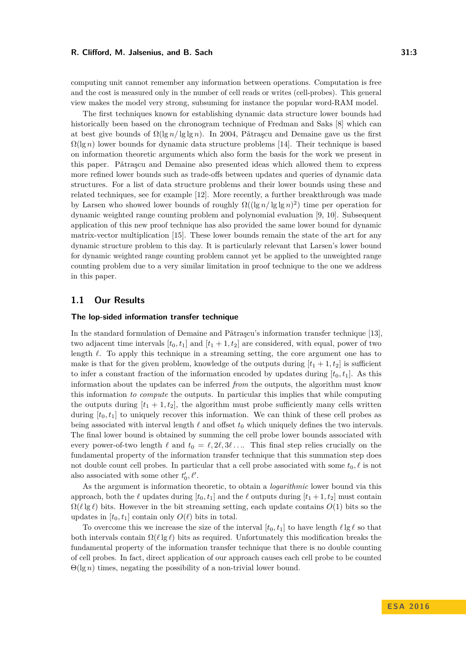computing unit cannot remember any information between operations. Computation is free and the cost is measured only in the number of cell reads or writes (cell-probes). This general view makes the model very strong, subsuming for instance the popular word-RAM model.

The first techniques known for establishing dynamic data structure lower bounds had historically been based on the chronogram technique of Fredman and Saks [\[8\]](#page-14-5) which can at best give bounds of  $\Omega(\lg n / \lg \lg n)$ . In 2004, Pǎtrascu and Demaine gave us the first  $\Omega(\lg n)$  lower bounds for dynamic data structure problems [\[14\]](#page-14-0). Their technique is based on information theoretic arguments which also form the basis for the work we present in this paper. Pǎtraşcu and Demaine also presented ideas which allowed them to express more refined lower bounds such as trade-offs between updates and queries of dynamic data structures. For a list of data structure problems and their lower bounds using these and related techniques, see for example [\[12\]](#page-14-6). More recently, a further breakthrough was made by Larsen who showed lower bounds of roughly  $\Omega((\lg n/\lg\lg n)^2)$  time per operation for dynamic weighted range counting problem and polynomial evaluation [\[9,](#page-14-7) [10\]](#page-14-8). Subsequent application of this new proof technique has also provided the same lower bound for dynamic matrix-vector multiplication [\[15\]](#page-14-9). These lower bounds remain the state of the art for any dynamic structure problem to this day. It is particularly relevant that Larsen's lower bound for dynamic weighted range counting problem cannot yet be applied to the unweighted range counting problem due to a very similar limitation in proof technique to the one we address in this paper.

# **1.1 Our Results**

## **The lop-sided information transfer technique**

In the standard formulation of Demaine and Pǎtraşcu's information transfer technique  $[13]$ , two adjacent time intervals  $[t_0, t_1]$  and  $[t_1 + 1, t_2]$  are considered, with equal, power of two length  $\ell$ . To apply this technique in a streaming setting, the core argument one has to make is that for the given problem, knowledge of the outputs during  $[t_1 + 1, t_2]$  is sufficient to infer a constant fraction of the information encoded by updates during  $[t_0, t_1]$ . As this information about the updates can be inferred *from* the outputs, the algorithm must know this information *to compute* the outputs. In particular this implies that while computing the outputs during  $[t_1 + 1, t_2]$ , the algorithm must probe sufficiently many cells written during  $[t_0, t_1]$  to uniquely recover this information. We can think of these cell probes as being associated with interval length  $\ell$  and offset  $t_0$  which uniquely defines the two intervals. The final lower bound is obtained by summing the cell probe lower bounds associated with every power-of-two length  $\ell$  and  $t_0 = \ell, 2\ell, 3\ell, \ldots$  This final step relies crucially on the fundamental property of the information transfer technique that this summation step does not double count cell probes. In particular that a cell probe associated with some  $t_0, \ell$  is not also associated with some other  $t'_{0}, \ell'$ .

As the argument is information theoretic, to obtain a *logarithmic* lower bound via this approach, both the  $\ell$  updates during  $[t_0, t_1]$  and the  $\ell$  outputs during  $[t_1 + 1, t_2]$  must contain  $\Omega(\ell \lg \ell)$  bits. However in the bit streaming setting, each update contains  $O(1)$  bits so the updates in  $[t_0, t_1]$  contain only  $O(\ell)$  bits in total.

To overcome this we increase the size of the interval  $[t_0, t_1]$  to have length  $\ell \lg \ell$  so that both intervals contain  $\Omega(\ell \lg \ell)$  bits as required. Unfortunately this modification breaks the fundamental property of the information transfer technique that there is no double counting of cell probes. In fact, direct application of our approach causes each cell probe to be counted  $\Theta(\lg n)$  times, negating the possibility of a non-trivial lower bound.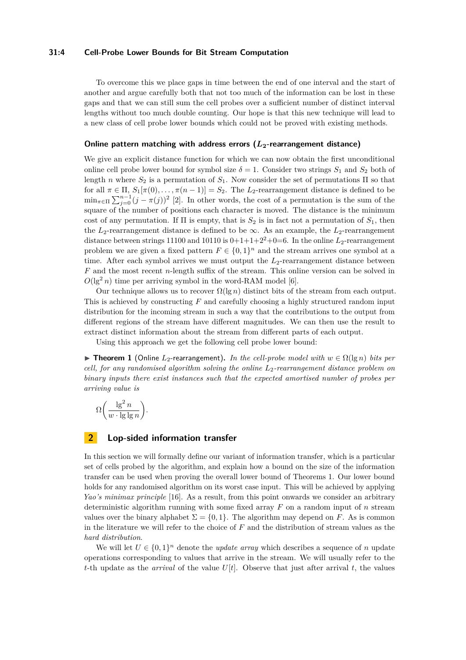# **31:4 Cell-Probe Lower Bounds for Bit Stream Computation**

To overcome this we place gaps in time between the end of one interval and the start of another and argue carefully both that not too much of the information can be lost in these gaps and that we can still sum the cell probes over a sufficient number of distinct interval lengths without too much double counting. Our hope is that this new technique will lead to a new class of cell probe lower bounds which could not be proved with existing methods.

#### **Online pattern matching with address errors (***L***2-rearrangement distance)**

We give an explicit distance function for which we can now obtain the first unconditional online cell probe lower bound for symbol size  $\delta = 1$ . Consider two strings  $S_1$  and  $S_2$  both of length *n* where  $S_2$  is a permutation of  $S_1$ . Now consider the set of permutations  $\Pi$  so that for all  $\pi \in \Pi$ ,  $S_1[\pi(0), \ldots, \pi(n-1)] = S_2$ . The  $L_2$ -rearrangement distance is defined to be  $\min_{\pi \in \Pi} \sum_{j=0}^{n-1} (j - \pi(j))^2$  [\[2\]](#page-13-4). In other words, the cost of a permutation is the sum of the square of the number of positions each character is moved. The distance is the minimum cost of any permutation. If  $\Pi$  is empty, that is  $S_2$  is in fact not a permutation of  $S_1$ , then the  $L_2$ -rearrangement distance is defined to be  $\infty$ . As an example, the  $L_2$ -rearrangement distance between strings  $11100$  and  $10110$  is  $0+1+1+2^2+0=6$ . In the online  $L_2$ -rearrangement problem we are given a fixed pattern  $F \in \{0,1\}^n$  and the stream arrives one symbol at a time. After each symbol arrives we must output the  $L_2$ -rearrangement distance between *F* and the most recent *n*-length suffix of the stream. This online version can be solved in  $O(\lg^2 n)$  time per arriving symbol in the word-RAM model [\[6\]](#page-13-5).

Our technique allows us to recover  $\Omega(\lg n)$  distinct bits of the stream from each output. This is achieved by constructing *F* and carefully choosing a highly structured random input distribution for the incoming stream in such a way that the contributions to the output from different regions of the stream have different magnitudes. We can then use the result to extract distinct information about the stream from different parts of each output.

Using this approach we get the following cell probe lower bound:

<span id="page-3-0"></span> $\triangleright$  **Theorem 1** (Online *L*<sub>2</sub>-rearrangement). *In the cell-probe model with*  $w ∈ Ω(lg n)$  *bits per cell, for any randomised algorithm solving the online L*2*-rearrangement distance problem on binary inputs there exist instances such that the expected amortised number of probes per arriving value is*

$$
\Omega\bigg(\frac{\lg^2 n}{w\cdot\lg\lg n}\bigg).
$$

# **2 Lop-sided information transfer**

In this section we will formally define our variant of information transfer, which is a particular set of cells probed by the algorithm, and explain how a bound on the size of the information transfer can be used when proving the overall lower bound of Theorems [1.](#page-3-0) Our lower bound holds for any randomised algorithm on its worst case input. This will be achieved by applying *Yao's minimax principle* [\[16\]](#page-14-11). As a result, from this point onwards we consider an arbitrary deterministic algorithm running with some fixed array *F* on a random input of *n* stream values over the binary alphabet  $\Sigma = \{0, 1\}$ . The algorithm may depend on *F*. As is common in the literature we will refer to the choice of *F* and the distribution of stream values as the *hard distribution*.

We will let  $U \in \{0,1\}^n$  denote the *update array* which describes a sequence of *n* update operations corresponding to values that arrive in the stream. We will usually refer to the *t*-th update as the *arrival* of the value  $U[t]$ . Observe that just after arrival t, the values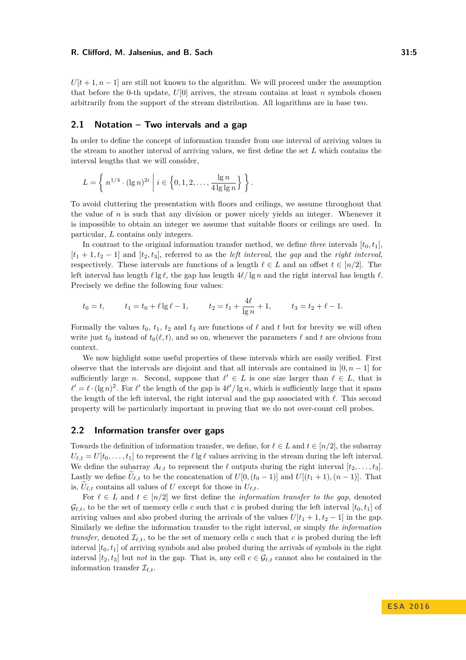$U[t+1, n-1]$  are still not known to the algorithm. We will proceed under the assumption that before the 0-th update,  $U[0]$  arrives, the stream contains at least *n* symbols chosen arbitrarily from the support of the stream distribution. All logarithms are in base two.

# <span id="page-4-0"></span>**2.1 Notation – Two intervals and a gap**

In order to define the concept of information transfer from one interval of arriving values in the stream to another interval of arriving values, we first define the set *L* which contains the interval lengths that we will consider,

$$
L = \left\{ n^{1/4} \cdot (\lg n)^{2i} \middle| i \in \left\{0, 1, 2, \dots, \frac{\lg n}{4 \lg \lg n} \right\} \right\}.
$$

To avoid cluttering the presentation with floors and ceilings, we assume throughout that the value of *n* is such that any division or power nicely yields an integer. Whenever it is impossible to obtain an integer we assume that suitable floors or ceilings are used. In particular, *L* contains only integers.

In contrast to the original information transfer method, we define *three* intervals  $[t_0, t_1]$ ,  $[t_1 + 1, t_2 - 1]$  and  $[t_2, t_3]$ , referred to as the *left interval*, the *gap* and the *right interval*, respectively. These intervals are functions of a length  $\ell \in L$  and an offset  $t \in [n/2]$ . The left interval has length  $\ell \lg \ell$ , the gap has length  $4\ell/\lg n$  and the right interval has length  $\ell$ . Precisely we define the following four values:

$$
t_0 = t
$$
,  $t_1 = t_0 + \ell \lg \ell - 1$ ,  $t_2 = t_1 + \frac{4\ell}{\lg n} + 1$ ,  $t_3 = t_2 + \ell - 1$ .

Formally the values  $t_0$ ,  $t_1$ ,  $t_2$  and  $t_3$  are functions of  $\ell$  and  $t$  but for brevity we will often write just  $t_0$  instead of  $t_0(\ell, t)$ , and so on, whenever the parameters  $\ell$  and  $t$  are obvious from context.

We now highlight some useful properties of these intervals which are easily verified. First observe that the intervals are disjoint and that all intervals are contained in  $[0, n-1]$  for sufficiently large *n*. Second, suppose that  $\ell' \in L$  is one size larger than  $\ell \in L$ , that is  $\ell' = \ell \cdot (\lg n)^2$ . For  $\ell'$  the length of the gap is  $4\ell'/\lg n$ , which is sufficiently large that it spans the length of the left interval, the right interval and the gap associated with  $\ell$ . This second property will be particularly important in proving that we do not over-count cell probes.

# **2.2 Information transfer over gaps**

Towards the definition of information transfer, we define, for  $\ell \in L$  and  $t \in [n/2]$ , the subarray  $U_{\ell,t} = U[t_0, \ldots, t_1]$  to represent the  $\ell \lg \ell$  values arriving in the stream during the left interval. We define the subarray  $A_{\ell,t}$  to represent the  $\ell$  outputs during the right interval  $[t_2, \ldots, t_3]$ . Lastly we define  $\tilde{U}_{\ell,t}$  to be the concatenation of  $U[0,(t_0-1)]$  and  $U[(t_1+1),(n-1)]$ . That is,  $\tilde{U}_{\ell,t}$  contains all values of *U* except for those in  $U_{\ell,t}$ .

For  $\ell \in L$  and  $t \in [n/2]$  we first define the *information transfer to the gap*, denoted  $\mathcal{G}_{\ell,t}$ , to be the set of memory cells *c* such that *c* is probed during the left interval  $[t_0, t_1]$  of arriving values and also probed during the arrivals of the values  $U[t_1 + 1, t_2 - 1]$  in the gap. Similarly we define the information transfer to the right interval, or simply *the information transfer*, denoted  $\mathcal{I}_{\ell,t}$ , to be the set of memory cells *c* such that *c* is probed during the left interval  $[t_0, t_1]$  of arriving symbols and also probed during the arrivals of symbols in the right interval  $[t_2, t_3]$  but *not* in the gap. That is, any cell  $c \in \mathcal{G}_{\ell,t}$  cannot also be contained in the information transfer  $\mathcal{I}_{\ell,t}$ .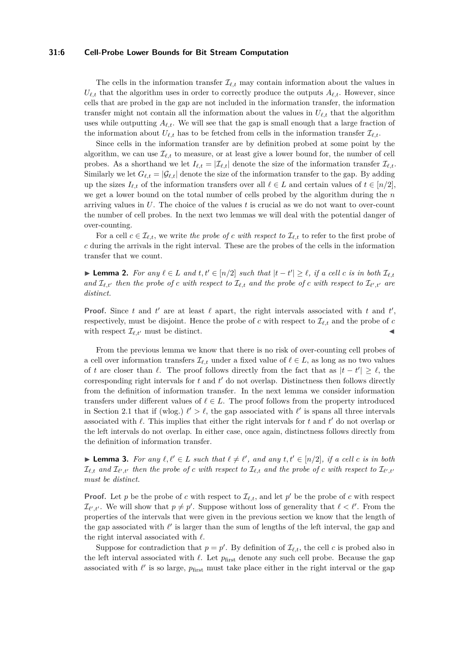### **31:6 Cell-Probe Lower Bounds for Bit Stream Computation**

The cells in the information transfer  $\mathcal{I}_{\ell,t}$  may contain information about the values in  $U_{\ell,t}$  that the algorithm uses in order to correctly produce the outputs  $A_{\ell,t}$ . However, since cells that are probed in the gap are not included in the information transfer, the information transfer might not contain all the information about the values in  $U_{\ell,t}$  that the algorithm uses while outputting  $A_{\ell,t}$ . We will see that the gap is small enough that a large fraction of the information about  $U_{\ell,t}$  has to be fetched from cells in the information transfer  $\mathcal{I}_{\ell,t}$ .

Since cells in the information transfer are by definition probed at some point by the algorithm, we can use  $\mathcal{I}_{\ell,t}$  to measure, or at least give a lower bound for, the number of cell probes. As a shorthand we let  $I_{\ell,t} = |\mathcal{I}_{\ell,t}|$  denote the size of the information transfer  $\mathcal{I}_{\ell,t}$ . Similarly we let  $G_{\ell,t} = |\mathcal{G}_{\ell,t}|$  denote the size of the information transfer to the gap. By adding up the sizes  $I_{\ell,t}$  of the information transfers over all  $\ell \in L$  and certain values of  $t \in [n/2]$ , we get a lower bound on the total number of cells probed by the algorithm during the *n* arriving values in *U*. The choice of the values *t* is crucial as we do not want to over-count the number of cell probes. In the next two lemmas we will deal with the potential danger of over-counting.

For a cell  $c \in \mathcal{I}_{\ell,t}$ , we write *the probe of c with respect to*  $\mathcal{I}_{\ell,t}$  to refer to the first probe of *c* during the arrivals in the right interval. These are the probes of the cells in the information transfer that we count.

<span id="page-5-0"></span>▶ **Lemma 2.** For any  $\ell \in L$  and  $t, t' \in [n/2]$  such that  $|t - t'| \geq \ell$ , if a cell c is in both  $\mathcal{I}_{\ell,t}$ *and*  $\mathcal{I}_{\ell,t'}$  *then the probe of c with respect to*  $\mathcal{I}_{\ell,t}$  *and the probe of c with respect to*  $\mathcal{I}_{\ell',t'}$  *are distinct.*

**Proof.** Since *t* and *t*' are at least  $\ell$  apart, the right intervals associated with *t* and  $t'$ , respectively, must be disjoint. Hence the probe of *c* with respect to  $\mathcal{I}_{\ell,t}$  and the probe of *c* with respect  $\mathcal{I}_{\ell,t'}$  must be distinct.

From the previous lemma we know that there is no risk of over-counting cell probes of a cell over information transfers  $\mathcal{I}_{\ell,t}$  under a fixed value of  $\ell \in L$ , as long as no two values of *t* are closer than  $\ell$ . The proof follows directly from the fact that as  $|t - t'| \geq \ell$ , the corresponding right intervals for  $t$  and  $t'$  do not overlap. Distinctness then follows directly from the definition of information transfer. In the next lemma we consider information transfers under different values of  $\ell \in L$ . The proof follows from the property introduced in Section [2.1](#page-4-0) that if (wlog.)  $\ell' > \ell$ , the gap associated with  $\ell'$  is spans all three intervals associated with  $\ell$ . This implies that either the right intervals for  $t$  and  $t'$  do not overlap or the left intervals do not overlap. In either case, once again, distinctness follows directly from the definition of information transfer.

<span id="page-5-1"></span>▶ **Lemma 3.** For any  $\ell, \ell' \in L$  such that  $\ell \neq \ell'$ , and any  $t, t' \in [n/2]$ , if a cell *c* is in both  $\mathcal{I}_{\ell,t}$  and  $\mathcal{I}_{\ell',t'}$  then the probe of  $c$  with respect to  $\mathcal{I}_{\ell,t}$  and the probe of  $c$  with respect to  $\mathcal{I}_{\ell',t'}$ *must be distinct.*

**Proof.** Let *p* be the probe of *c* with respect to  $\mathcal{I}_{\ell,t}$ , and let *p*' be the probe of *c* with respect  $\mathcal{I}_{\ell',t'}$ . We will show that  $p \neq p'$ . Suppose without loss of generality that  $\ell < \ell'$ . From the properties of the intervals that were given in the previous section we know that the length of the gap associated with  $\ell'$  is larger than the sum of lengths of the left interval, the gap and the right interval associated with  $\ell$ .

Suppose for contradiction that  $p = p'$ . By definition of  $\mathcal{I}_{\ell,t}$ , the cell *c* is probed also in the left interval associated with  $\ell$ . Let  $p_{\text{first}}$  denote any such cell probe. Because the gap associated with  $\ell'$  is so large,  $p_{\text{first}}$  must take place either in the right interval or the gap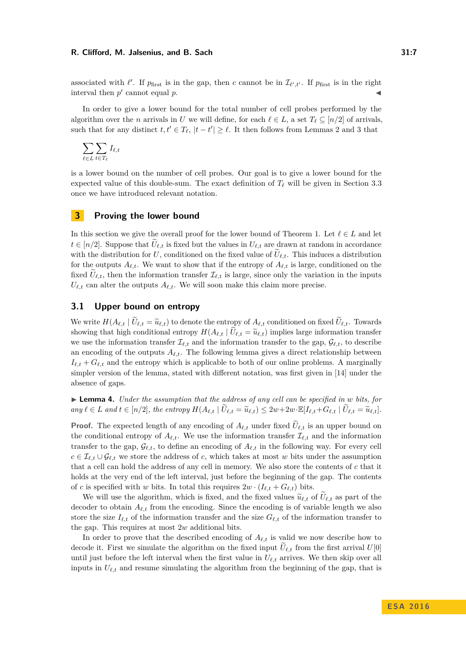associated with  $\ell'$ . If  $p_{\text{first}}$  is in the gap, then *c* cannot be in  $\mathcal{I}_{\ell',t'}$ . If  $p_{\text{first}}$  is in the right interval then  $p'$  cannot equal  $p$ .

In order to give a lower bound for the total number of cell probes performed by the algorithm over the *n* arrivals in *U* we will define, for each  $\ell \in L$ , a set  $T_{\ell} \subseteq [n/2]$  of arrivals, such that for any distinct  $t, t' \in T_{\ell}$ ,  $|t - t'| \geq \ell$ . It then follows from Lemmas [2](#page-5-0) and [3](#page-5-1) that

$$
\sum_{\ell \in L} \sum_{t \in T_{\ell}} I_{\ell, t}
$$

is a lower bound on the number of cell probes. Our goal is to give a lower bound for the expected value of this double-sum. The exact definition of  $T_\ell$  will be given in Section [3.3](#page-7-1) once we have introduced relevant notation.

# **3 Proving the lower bound**

In this section we give the overall proof for the lower bound of Theorem [1.](#page-3-0) Let  $\ell \in L$  and let  $t \in [n/2]$ . Suppose that  $\hat{U}_{\ell,t}$  is fixed but the values in  $U_{\ell,t}$  are drawn at random in accordance with the distribution for *U*, conditioned on the fixed value of  $\hat{U}_{\ell,t}$ . This induces a distribution for the outputs  $A_{\ell,t}$ . We want to show that if the entropy of  $A_{\ell,t}$  is large, conditioned on the fixed  $U_{\ell,t}$ , then the information transfer  $\mathcal{I}_{\ell,t}$  is large, since only the variation in the inputs  $U_{\ell,t}$  can alter the outputs  $A_{\ell,t}$ . We will soon make this claim more precise.

# **3.1 Upper bound on entropy**

We write  $H(A_{\ell,t} | \tilde{U}_{\ell,t} = \tilde{u}_{\ell,t})$  to denote the entropy of  $A_{\ell,t}$  conditioned on fixed  $\tilde{U}_{\ell,t}$ . Towards showing that high conditional entropy  $H(A_{\ell,t} | \hat{U}_{\ell,t} = \tilde{u}_{\ell,t})$  implies large information transfer we use the information transfer  $\mathcal{I}_{\ell,t}$  and the information transfer to the gap,  $\mathcal{G}_{\ell,t}$ , to describe an encoding of the outputs  $A_{\ell,t}$ . The following lemma gives a direct relationship between  $I_{\ell,t} + G_{\ell,t}$  and the entropy which is applicable to both of our online problems. A marginally simpler version of the lemma, stated with different notation, was first given in [\[14\]](#page-14-0) under the absence of gaps.

<span id="page-6-0"></span>I **Lemma 4.** *Under the assumption that the address of any cell can be specified in w bits, for* any  $\ell \in L$  and  $t \in [n/2]$ , the entropy  $H(A_{\ell,t} | \widetilde{U}_{\ell,t} = \widetilde{u}_{\ell,t}) \leq 2w + 2w \cdot \mathbb{E}[I_{\ell,t} + G_{\ell,t} | \widetilde{U}_{\ell,t} = \widetilde{u}_{\ell,t}].$ 

**Proof.** The expected length of any encoding of  $A_{\ell,t}$  under fixed  $\tilde{U}_{\ell,t}$  is an upper bound on the conditional entropy of  $A_{\ell,t}$ . We use the information transfer  $\mathcal{I}_{\ell,t}$  and the information transfer to the gap,  $\mathcal{G}_{\ell,t}$ , to define an encoding of  $A_{\ell,t}$  in the following way. For every cell  $c \in \mathcal{I}_{\ell,t} \cup \mathcal{G}_{\ell,t}$  we store the address of *c*, which takes at most *w* bits under the assumption that a cell can hold the address of any cell in memory. We also store the contents of *c* that it holds at the very end of the left interval, just before the beginning of the gap. The contents of *c* is specified with *w* bits. In total this requires  $2w \cdot (I_{\ell,t} + G_{\ell,t})$  bits.

We will use the algorithm, which is fixed, and the fixed values  $\tilde{u}_{\ell,t}$  of  $U_{\ell,t}$  as part of the decoder to obtain  $A_{\ell,t}$  from the encoding. Since the encoding is of variable length we also store the size  $I_{\ell,t}$  of the information transfer and the size  $G_{\ell,t}$  of the information transfer to the gap. This requires at most 2*w* additional bits.

In order to prove that the described encoding of  $A_{\ell,t}$  is valid we now describe how to decode it. First we simulate the algorithm on the fixed input  $\hat{U}_{\ell,t}$  from the first arrival  $U[0]$ until just before the left interval when the first value in  $U_{\ell,t}$  arrives. We then skip over all inputs in  $U_{\ell,t}$  and resume simulating the algorithm from the beginning of the gap, that is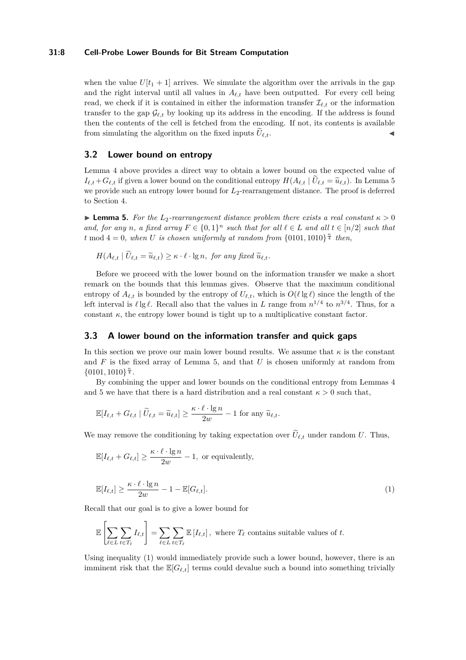# **31:8 Cell-Probe Lower Bounds for Bit Stream Computation**

when the value  $U[t_1 + 1]$  arrives. We simulate the algorithm over the arrivals in the gap and the right interval until all values in  $A_{\ell,t}$  have been outputted. For every cell being read, we check if it is contained in either the information transfer  $\mathcal{I}_{\ell,t}$  or the information transfer to the gap  $\mathcal{G}_{\ell,t}$  by looking up its address in the encoding. If the address is found then the contents of the cell is fetched from the encoding. If not, its contents is available from simulating the algorithm on the fixed inputs  $\tilde{U}_{\ell,t}$ .

# **3.2 Lower bound on entropy**

Lemma [4](#page-6-0) above provides a direct way to obtain a lower bound on the expected value of  $I_{\ell,t} + G_{\ell,t}$  if given a lower bound on the conditional entropy  $H(A_{\ell,t} | U_{\ell,t} = \tilde{u}_{\ell,t})$ . In Lemma [5](#page-7-0) we provide such an entropy lower bound for  $L_2$ -rearrangement distance. The proof is deferred to Section [4.](#page-9-0)

<span id="page-7-0"></span>**Lemma 5.** For the  $L_2$ -rearrangement distance problem there exists a real constant  $\kappa > 0$ *and, for any n, a fixed array*  $F \in \{0,1\}^n$  *such that for all*  $\ell \in L$  *and all*  $t \in [n/2]$  *such that t* mod  $4 = 0$ , when *U is chosen uniformly at random from*  $\{0101, 1010\}^{\frac{n}{4}}$  *then,* 

$$
H(A_{\ell,t} \mid \widetilde{U}_{\ell,t} = \widetilde{u}_{\ell,t}) \ge \kappa \cdot \ell \cdot \lg n, \text{ for any fixed } \widetilde{u}_{\ell,t}.
$$

Before we proceed with the lower bound on the information transfer we make a short remark on the bounds that this lemmas gives. Observe that the maximum conditional entropy of  $A_{\ell,t}$  is bounded by the entropy of  $U_{\ell,t}$ , which is  $O(\ell \lg \ell)$  since the length of the left interval is  $\ell \lg \ell$ . Recall also that the values in *L* range from  $n^{1/4}$  to  $n^{3/4}$ . Thus, for a constant  $\kappa$ , the entropy lower bound is tight up to a multiplicative constant factor.

# <span id="page-7-1"></span>**3.3 A lower bound on the information transfer and quick gaps**

In this section we prove our main lower bound results. We assume that  $\kappa$  is the constant and *F* is the fixed array of Lemma [5,](#page-7-0) and that *U* is chosen uniformly at random from  ${0101, 1010}$ <sup>n</sup><sub>4</sub>.

By combining the upper and lower bounds on the conditional entropy from Lemmas [4](#page-6-0) and [5](#page-7-0) we have that there is a hard distribution and a real constant  $\kappa > 0$  such that,

$$
\mathbb{E}[I_{\ell,t} + G_{\ell,t} \mid \widetilde{U}_{\ell,t} = \widetilde{u}_{\ell,t}] \ge \frac{\kappa \cdot \ell \cdot \lg n}{2w} - 1 \text{ for any } \widetilde{u}_{\ell,t}.
$$

We may remove the conditioning by taking expectation over  $\tilde{U}_{\ell,t}$  under random *U*. Thus,

$$
\mathbb{E}[I_{\ell,t} + G_{\ell,t}] \ge \frac{\kappa \cdot \ell \cdot \lg n}{2w} - 1, \text{ or equivalently,}
$$

<span id="page-7-2"></span>
$$
\mathbb{E}[I_{\ell,t}] \ge \frac{\kappa \cdot \ell \cdot \lg n}{2w} - 1 - \mathbb{E}[G_{\ell,t}].
$$
\n(1)

Recall that our goal is to give a lower bound for

$$
\mathbb{E}\left[\sum_{\ell\in L}\sum_{t\in T_{\ell}}I_{\ell,t}\right] = \sum_{\ell\in L}\sum_{t\in T_{\ell}}\mathbb{E}\left[I_{\ell,t}\right], \text{ where } T_{\ell} \text{ contains suitable values of } t.
$$

Using inequality [\(1\)](#page-7-2) would immediately provide such a lower bound, however, there is an imminent risk that the  $\mathbb{E}[G_{\ell,t}]$  terms could devalue such a bound into something trivially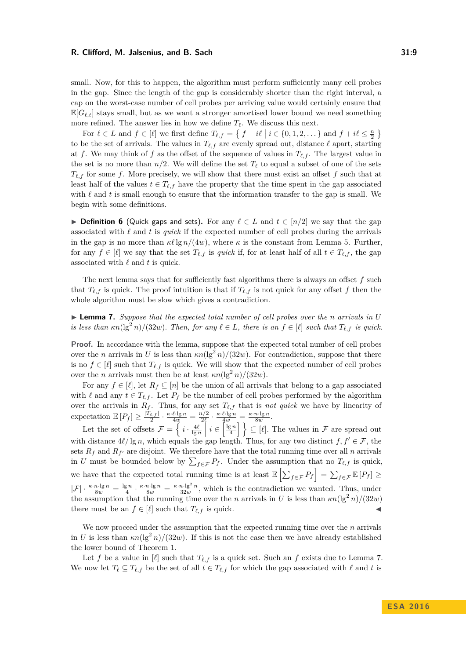small. Now, for this to happen, the algorithm must perform sufficiently many cell probes in the gap. Since the length of the gap is considerably shorter than the right interval, a cap on the worst-case number of cell probes per arriving value would certainly ensure that  $\mathbb{E}[G_{\ell,t}]$  stays small, but as we want a stronger amortised lower bound we need something more refined. The answer lies in how we define  $T_\ell$ . We discuss this next.

For  $\ell \in L$  and  $f \in [\ell]$  we first define  $T_{\ell,f} = \{ f + i\ell \mid i \in \{0,1,2,\dots\} \}$  and  $f + i\ell \leq \frac{n}{2} \}$ to be the set of arrivals. The values in  $T_{\ell,f}$  are evenly spread out, distance  $\ell$  apart, starting at *f*. We may think of *f* as the offset of the sequence of values in  $T_{\ell,f}$ . The largest value in the set is no more than  $n/2$ . We will define the set  $T_\ell$  to equal a subset of one of the sets  $T_{\ell,f}$  for some *f*. More precisely, we will show that there must exist an offset *f* such that at least half of the values  $t \in T_{\ell, f}$  have the property that the time spent in the gap associated with  $\ell$  and  $t$  is small enough to ensure that the information transfer to the gap is small. We begin with some definitions.

**► Definition 6** (Quick gaps and sets). For any  $\ell \in L$  and  $t \in [n/2]$  we say that the gap associated with  $\ell$  and  $t$  is *quick* if the expected number of cell probes during the arrivals in the gap is no more than  $\kappa \ell \lg n/(4w)$ , where  $\kappa$  is the constant from Lemma [5.](#page-7-0) Further, for any  $f \in [\ell]$  we say that the set  $T_{\ell, f}$  is *quick* if, for at least half of all  $t \in T_{\ell, f}$ , the gap associated with  $\ell$  and  $t$  is quick.

The next lemma says that for sufficiently fast algorithms there is always an offset *f* such that  $T_{\ell,f}$  is quick. The proof intuition is that if  $T_{\ell,f}$  is not quick for any offset *f* then the whole algorithm must be slow which gives a contradiction.

# <span id="page-8-0"></span> $\triangleright$  **Lemma 7.** Suppose that the expected total number of cell probes over the *n* arrivals in U *is less than*  $\kappa n(\lg^2 n)/(32w)$ . Then, for any  $\ell \in L$ , there is an  $f \in [\ell]$  such that  $T_{\ell, f}$  is quick.

Proof. In accordance with the lemma, suppose that the expected total number of cell probes over the *n* arrivals in *U* is less than  $\kappa n(\lg^2 n)/(32w)$ . For contradiction, suppose that there is no  $f \in [\ell]$  such that  $T_{\ell,f}$  is quick. We will show that the expected number of cell probes over the *n* arrivals must then be at least  $\kappa n(\lg^2 n)/(32w)$ .

For any  $f \in [\ell]$ , let  $R_f \subseteq [n]$  be the union of all arrivals that belong to a gap associated with  $\ell$  and any  $t \in T_{\ell,f}$ . Let  $P_f$  be the number of cell probes performed by the algorithm over the arrivals in  $R_f$ . Thus, for any set  $T_{\ell,f}$  that is *not quick* we have by linearity of  $\exp{\text{ectation}\ } \mathbb{E}[P_f] \ge \frac{|T_{\ell,f}|}{2} \cdot \frac{\kappa \cdot \ell \cdot \lg n}{4w} = \frac{n/2}{2\ell}$  $\frac{n/2}{2\ell} \cdot \frac{\kappa \cdot \ell \cdot \lg n}{4w} = \frac{\kappa \cdot n \cdot \lg n}{8w}.$ 

Let the set of offsets  $\mathcal{F} = \left\{ i \cdot \frac{4\ell}{\lg n} \middle| i \in \left[\frac{\lg n}{4}\right] \right\} \subseteq [\ell]$ . The values in  $\mathcal{F}$  are spread out with distance  $4\ell/\lg n$ , which equals the gap length. Thus, for any two distinct  $f, f' \in \mathcal{F}$ , the sets  $R_f$  and  $R_{f'}$  are disjoint. We therefore have that the total running time over all *n* arrivals in *U* must be bounded below by  $\sum_{f \in \mathcal{F}} P_f$ . Under the assumption that no  $T_{\ell, f}$  is quick, we have that the expected total running time is at least  $\mathbb{E}\left[\sum_{f\in\mathcal{F}}P_f\right] = \sum_{f\in\mathcal{F}} \mathbb{E}\left[P_f\right] \geq$  $|\mathcal{F}| \cdot \frac{\kappa \cdot n \cdot \lg n}{8w} = \frac{\lg n}{4} \cdot \frac{\kappa \cdot n \cdot \lg n}{8w} = \frac{\kappa \cdot n \cdot \lg^2 n}{32w}$ , which is the contradiction we wanted. Thus, under the assumption that the running time over the *n* arrivals in *U* is less than  $\kappa n(\lg^2 n)/(32w)$ there must be an  $f \in [\ell]$  such that  $T_{\ell, f}$  is quick.

We now proceed under the assumption that the expected running time over the *n* arrivals in *U* is less than  $\kappa n(\lg^2 n)/(32w)$ . If this is not the case then we have already established the lower bound of Theorem [1.](#page-3-0)

Let *f* be a value in  $[\ell]$  such that  $T_{\ell,f}$  is a quick set. Such an *f* exists due to Lemma [7.](#page-8-0) We now let  $T_\ell \subseteq T_{\ell,f}$  be the set of all  $t \in T_{\ell,f}$  for which the gap associated with  $\ell$  and  $t$  is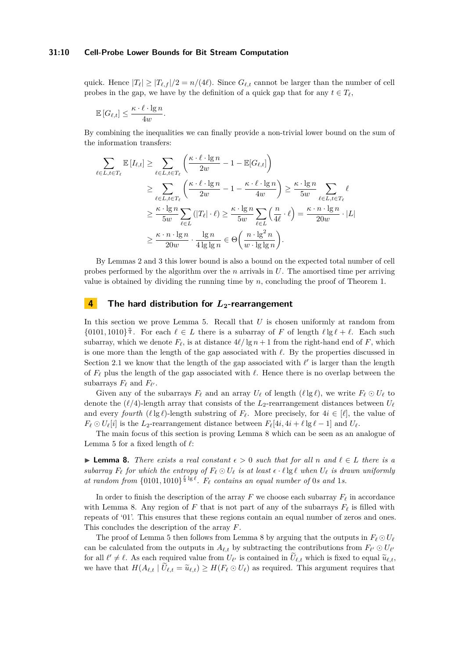#### **31:10 Cell-Probe Lower Bounds for Bit Stream Computation**

quick. Hence  $|T_\ell| \ge |T_{\ell,f}|/2 = n/(4\ell)$ . Since  $G_{\ell,t}$  cannot be larger than the number of cell probes in the gap, we have by the definition of a quick gap that for any  $t \in T_\ell$ ,

$$
\mathbb{E}\left[G_{\ell,t}\right] \leq \frac{\kappa \cdot \ell \cdot \lg n}{4w}.
$$

By combining the inequalities we can finally provide a non-trivial lower bound on the sum of the information transfers:

$$
\sum_{\ell \in L, t \in T_{\ell}} \mathbb{E} \left[ I_{\ell, t} \right] \geq \sum_{\ell \in L, t \in T_{\ell}} \left( \frac{\kappa \cdot \ell \cdot \lg n}{2w} - 1 - \mathbb{E}[G_{\ell, t}] \right)
$$
\n
$$
\geq \sum_{\ell \in L, t \in T_{\ell}} \left( \frac{\kappa \cdot \ell \cdot \lg n}{2w} - 1 - \frac{\kappa \cdot \ell \cdot \lg n}{4w} \right) \geq \frac{\kappa \cdot \lg n}{5w} \sum_{\ell \in L, t \in T_{\ell}} \ell
$$
\n
$$
\geq \frac{\kappa \cdot \lg n}{5w} \sum_{\ell \in L} \left( |T_{\ell}| \cdot \ell \right) \geq \frac{\kappa \cdot \lg n}{5w} \sum_{\ell \in L} \left( \frac{n}{4\ell} \cdot \ell \right) = \frac{\kappa \cdot n \cdot \lg n}{20w} \cdot |L|
$$
\n
$$
\geq \frac{\kappa \cdot n \cdot \lg n}{20w} \cdot \frac{\lg n}{4 \lg \lg n} \in \Theta \left( \frac{n \cdot \lg^2 n}{w \cdot \lg \lg n} \right).
$$

By Lemmas [2](#page-5-0) and [3](#page-5-1) this lower bound is also a bound on the expected total number of cell probes performed by the algorithm over the *n* arrivals in *U*. The amortised time per arriving value is obtained by dividing the running time by  $n$ , concluding the proof of Theorem [1.](#page-3-0)

# <span id="page-9-0"></span>**4 The hard distribution for** *L***2-rearrangement**

In this section we prove Lemma [5.](#page-7-0) Recall that *U* is chosen uniformly at random from  $\{0101, 1010\}^{\frac{n}{4}}$ . For each  $\ell \in L$  there is a subarray of *F* of length  $\ell \lg \ell + \ell$ . Each such subarray, which we denote  $F_\ell$ , is at distance  $4\ell/\lg n + 1$  from the right-hand end of *F*, which is one more than the length of the gap associated with  $\ell$ . By the properties discussed in Section [2.1](#page-4-0) we know that the length of the gap associated with  $\ell'$  is larger than the length of  $F_\ell$  plus the length of the gap associated with  $\ell$ . Hence there is no overlap between the subarrays  $F_{\ell}$  and  $F_{\ell'}$ .

Given any of the subarrays  $F_\ell$  and an array  $U_\ell$  of length  $(\ell \lg \ell)$ , we write  $F_\ell \odot U_\ell$  to denote the  $(\ell/4)$ -length array that consists of the  $L_2$ -rearrangement distances between  $U_\ell$ and every *fourth*  $(\ell \lg \ell)$ -length substring of  $F_\ell$ . More precisely, for  $4i \in [\ell]$ , the value of  $F_{\ell} \odot U_{\ell}[i]$  is the *L*<sub>2</sub>-rearrangement distance between  $F_{\ell}[4i, 4i + \ell \lg \ell - 1]$  and  $U_{\ell}$ .

The main focus of this section is proving Lemma [8](#page-9-1) which can be seen as an analogue of Lemma [5](#page-7-0) for a fixed length of  $\ell$ :

<span id="page-9-1"></span>**► Lemma 8.** *There exists a real constant*  $\epsilon > 0$  *such that for all*  $n$  *and*  $\ell \in L$  *there is a* subarray  $F_{\ell}$  for which the entropy of  $F_{\ell} \odot U_{\ell}$  is at least  $\epsilon \cdot \ell \lg \ell$  when  $U_{\ell}$  is drawn uniformly at random from  $\{0101, 1010\}^{\frac{\ell}{4} \lg \ell}$ .  $F_{\ell}$  contains an equal number of 0*s* and 1*s*.

In order to finish the description of the array  $F$  we choose each subarray  $F_\ell$  in accordance with Lemma [8.](#page-9-1) Any region of  $F$  that is not part of any of the subarrays  $F_\ell$  is filled with repeats of '01'. This ensures that these regions contain an equal number of zeros and ones. This concludes the description of the array *F*.

The proof of Lemma [5](#page-7-0) then follows from Lemma [8](#page-9-1) by arguing that the outputs in  $F_\ell \odot U_\ell$ can be calculated from the outputs in  $A_{\ell,t}$  by subtracting the contributions from  $F_{\ell'} \odot U_{\ell'}$ for all  $\ell' \neq \ell$ . As each required value from  $U_{\ell'}$  is contained in  $\tilde{U}_{\ell,t}$  which is fixed to equal  $\tilde{u}_{\ell,t}$ , we have that  $H(A_{\ell,t} | U_{\ell,t} = \tilde{u}_{\ell,t}) \geq H(F_{\ell} \odot U_{\ell})$  as required. This argument requires that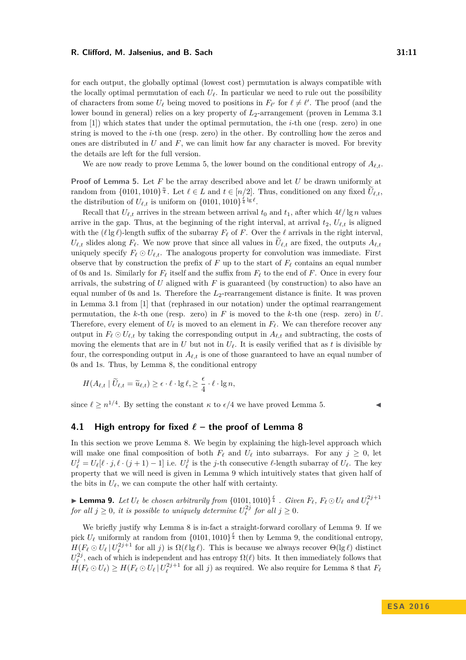for each output, the globally optimal (lowest cost) permutation is always compatible with the locally optimal permutation of each  $U_\ell$ . In particular we need to rule out the possibility of characters from some  $U_{\ell}$  being moved to positions in  $F_{\ell'}$  for  $\ell \neq \ell'$ . The proof (and the lower bound in general) relies on a key property of  $L_2$ -arrangement (proven in Lemma 3.1) from [\[1\]](#page-13-3)) which states that under the optimal permutation, the *i*-th one (resp. zero) in one string is moved to the *i*-th one (resp. zero) in the other. By controlling how the zeros and ones are distributed in *U* and *F*, we can limit how far any character is moved. For brevity the details are left for the full version.

We are now ready to prove Lemma [5,](#page-7-0) the lower bound on the conditional entropy of  $A_{\ell,t}$ .

**Proof of Lemma [5.](#page-7-0)** Let *F* be the array described above and let *U* be drawn uniformly at random from  $\{0101, 1010\}^{\frac{n}{4}}$ . Let  $\ell \in L$  and  $t \in [n/2]$ . Thus, conditioned on any fixed  $\widetilde{U}_{\ell,t}$ , the distribution of  $U_{\ell,t}$  is uniform on  $\{0101, 1010\}^{\frac{\ell}{4} \lg \ell}$ .

Recall that  $U_{\ell,t}$  arrives in the stream between arrival  $t_0$  and  $t_1$ , after which  $4\ell/\lg n$  values arrive in the gap. Thus, at the beginning of the right interval, at arrival  $t_2$ ,  $U_{\ell,t}$  is aligned with the  $(\ell \lg \ell)$ -length suffix of the subarray  $F_\ell$  of *F*. Over the  $\ell$  arrivals in the right interval,  $U_{\ell,t}$  slides along  $F_{\ell}$ . We now prove that since all values in  $U_{\ell,t}$  are fixed, the outputs  $A_{\ell,t}$ uniquely specify  $F_\ell \odot U_{\ell,t}$ . The analogous property for convolution was immediate. First observe that by construction the prefix of  $F$  up to the start of  $F_\ell$  contains an equal number of 0s and 1s. Similarly for  $F_\ell$  itself and the suffix from  $F_\ell$  to the end of *F*. Once in every four arrivals, the substring of *U* aligned with *F* is guaranteed (by construction) to also have an equal number of 0s and 1s. Therefore the  $L_2$ -rearrangement distance is finite. It was proven in Lemma 3.1 from [\[1\]](#page-13-3) that (rephrased in our notation) under the optimal rearrangement permutation, the *k*-th one (resp. zero) in *F* is moved to the *k*-th one (resp. zero) in *U*. Therefore, every element of  $U_\ell$  is moved to an element in  $F_\ell$ . We can therefore recover any output in  $F_\ell \odot U_{\ell,t}$  by taking the corresponding output in  $A_{\ell,t}$  and subtracting, the costs of moving the elements that are in *U* but not in  $U_{\ell}$ . It is easily verified that as *t* is divisible by four, the corresponding output in  $A_{\ell,t}$  is one of those guaranteed to have an equal number of 0s and 1s. Thus, by Lemma [8,](#page-9-1) the conditional entropy

$$
H(A_{\ell,t} \mid \widetilde{U}_{\ell,t} = \widetilde{u}_{\ell,t}) \geq \epsilon \cdot \ell \cdot \lg \ell, \geq \frac{\epsilon}{4} \cdot \ell \cdot \lg n,
$$

since  $\ell \geq n^{1/4}$ . By setting the constant  $\kappa$  to  $\epsilon/4$  we have proved Lemma [5.](#page-7-0)

# **4.1 High entropy for fixed**  $\ell$  – the proof of Lemma [8](#page-9-1)

In this section we prove Lemma [8.](#page-9-1) We begin by explaining the high-level approach which will make one final composition of both  $F_\ell$  and  $U_\ell$  into subarrays. For any  $j \geq 0$ , let  $U^j_\ell = U_\ell[\ell \cdot j, \ell \cdot (j+1) - 1]$  i.e.  $U^j_\ell$  is the *j*-th consecutive  $\ell$ -length subarray of  $U_\ell$ . The key property that we will need is given in Lemma [9](#page-10-0) which intuitively states that given half of the bits in  $U_{\ell}$ , we can compute the other half with certainty.

<span id="page-10-0"></span>► Lemma 9. Let  $U_{\ell}$  be chosen arbitrarily from  $\{0101, 1010\}^{\frac{\ell}{4}}$ . Given  $F_{\ell}$ ,  $F_{\ell} \odot U_{\ell}$  and  $U_{\ell}^{2j+1}$  for all  $j \ge 0$ , it is possible to uniquely determine  $U_{\ell}^{2j}$  for all  $j \ge 0$ .

We briefly justify why Lemma [8](#page-9-1) is in-fact a straight-forward corollary of Lemma [9.](#page-10-0) If we pick  $U_{\ell}$  uniformly at random from  $\{0101, 1010\}^{\ell}$  then by Lemma [9,](#page-10-0) the conditional entropy,  $H(F_\ell \odot U_\ell | U_\ell^{2j+1}$  for all *j*) is  $\Omega(\ell | g \ell)$ . This is because we always recover  $\Theta(\lg \ell)$  distinct  $U_{\ell}^{2j}$ , each of which is independent and has entropy  $\Omega(\ell)$  bits. It then immediately follows that  $H(F_\ell \odot U_\ell) \geq H(F_\ell \odot U_\ell | U_\ell^{2j+1}$  for all *j*) as required. We also require for Lemma [8](#page-9-1) that  $F_\ell$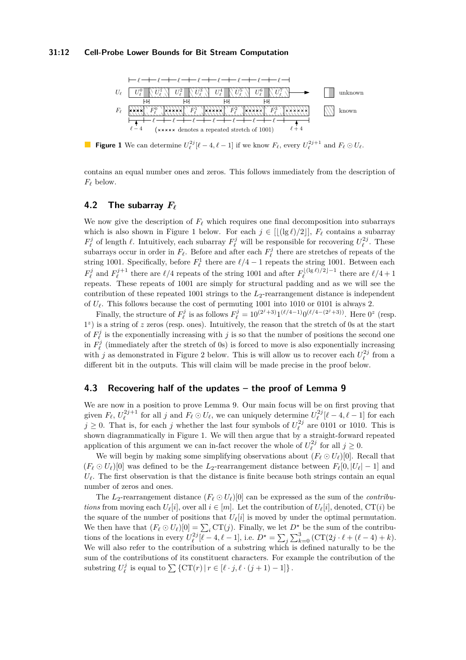#### **31:12 Cell-Probe Lower Bounds for Bit Stream Computation**

<span id="page-11-0"></span>

**Figure 1** We can determine  $U_{\ell}^{2j}[\ell-4,\ell-1]$  if we know  $F_{\ell}$ , every  $U_{\ell}^{2j+1}$  and  $F_{\ell} \odot U_{\ell}$ .

contains an equal number ones and zeros. This follows immediately from the description of  $F_{\ell}$  below.

# **4.2 The subarray** *F`*

We now give the description of  $F_\ell$  which requires one final decomposition into subarrays which is also shown in Figure [1](#page-11-0) below. For each  $j \in [(\lg \ell)/2\,], F_\ell$  contains a subarray  $F^j_\ell$  of length  $\ell$ . Intuitively, each subarray  $F^j_\ell$  will be responsible for recovering  $U^{2j}_\ell$ . These subarrays occur in order in  $F_\ell$ . Before and after each  $F_\ell^j$  there are stretches of repeats of the string 1001. Specifically, before  $F^1_\ell$  there are  $\ell/4 - 1$  repeats the string 1001. Between each  $F_{\ell}^{j}$  and  $F_{\ell}^{j+1}$  there are  $\ell/4$  repeats of the string 1001 and after  $F_{\ell}^{\lfloor(\lg \ell)/2\rfloor - 1}$  $\ell^{(1g\ell)/2}$ <sup>-1</sup> there are  $\ell/4 + 1$ repeats. These repeats of 1001 are simply for structural padding and as we will see the contribution of these repeated 1001 strings to the  $L_2$ -rearrangement distance is independent of  $U_{\ell}$ . This follows because the cost of permuting 1001 into 1010 or 0101 is always 2.

Finally, the structure of  $F_{\ell}^{j}$  is as follows  $F_{\ell}^{j} = 10^{(2^{j}+3)}1^{(\ell/4-1)}0^{(\ell/4-(2^{j}+3))}$ . Here  $0^{z}$  (resp. 1<sup>z</sup>) is a string of *z* zeros (resp. ones). Intuitively, the reason that the stretch of 0s at the start of  $F_{\ell}^{j}$  is the exponentially increasing with *j* is so that the number of positions the second one in  $F^j_\ell$  (immediately after the stretch of 0s) is forced to move is also exponentially increasing with *j* as demonstrated in Figure [2](#page-13-6) below. This is will allow us to recover each  $U_{\ell}^{2j}$  from a different bit in the outputs. This will claim will be made precise in the proof below.

# **4.3 Recovering half of the updates – the proof of Lemma [9](#page-10-0)**

We are now in a position to prove Lemma [9.](#page-10-0) Our main focus will be on first proving that given  $F_\ell$ ,  $U_\ell^{2j+1}$  for all *j* and  $F_\ell \odot U_\ell$ , we can uniquely determine  $U_\ell^{2j}[\ell-4,\ell-1]$  for each  $j \geq 0$ . That is, for each *j* whether the last four symbols of  $U_{\ell}^{2j}$  are 0101 or 1010. This is shown diagrammatically in Figure [1.](#page-11-0) We will then argue that by a straight-forward repeated application of this argument we can in-fact recover the whole of  $U_{\ell}^{2j}$  for all  $j \geq 0$ .

We will begin by making some simplifying observations about  $(F_\ell \odot U_\ell)[0]$ . Recall that  $(F_{\ell} \odot U_{\ell})[0]$  was defined to be the *L*<sub>2</sub>-rearrangement distance between  $F_{\ell}[0, |U_{\ell}|-1]$  and  $U_{\ell}$ . The first observation is that the distance is finite because both strings contain an equal number of zeros and ones.

The  $L_2$ -rearrangement distance  $(F_\ell \odot U_\ell)[0]$  can be expressed as the sum of the *contributions* from moving each  $U_{\ell}[i]$ , over all  $i \in [m]$ . Let the contribution of  $U_{\ell}[i]$ , denoted, CT(*i*) be the square of the number of positions that  $U_{\ell}[i]$  is moved by under the optimal permutation. We then have that  $(F_\ell \odot U_\ell)[0] = \sum_i \text{CT}(j)$ . Finally, we let  $D^*$  be the sum of the contributions of the locations in every  $U_{\ell}^{2j}[\ell-4, \ell-1]$ , i.e.  $D^* = \sum_j \sum_{k=0}^3 (\text{CT}(2j \cdot \ell + (\ell-4) + k)).$ We will also refer to the contribution of a substring which is defined naturally to be the sum of the contributions of its constituent characters. For example the contribution of the substring  $U_{\ell}^{j}$  is equal to  $\sum {\{ \operatorname{CT}(r) | r \in [\ell \cdot j, \ell \cdot (j+1) - 1] \}}$ .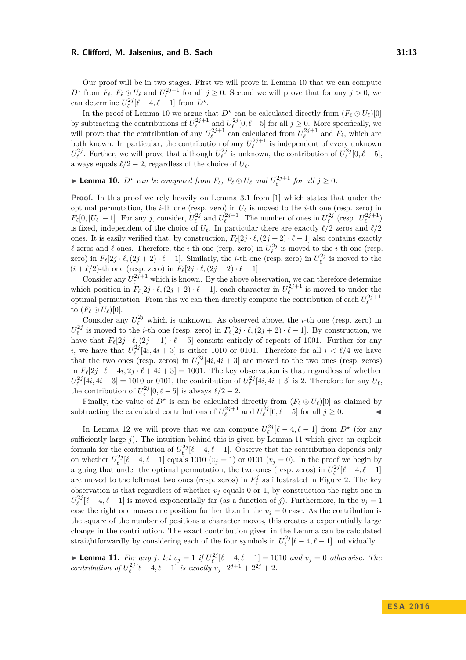Our proof will be in two stages. First we will prove in Lemma [10](#page-12-0) that we can compute  $D^*$  from  $F_\ell, F_\ell \odot U_\ell$  and  $U_\ell^{2j+1}$  for all  $j \geq 0$ . Second we will prove that for any  $j > 0$ , we can determine  $U_{\ell}^{2j}[\ell-4, \ell-1]$  from  $D^*$ .

In the proof of Lemma [10](#page-12-0) we argue that  $D^*$  can be calculated directly from  $(F_\ell \odot U_\ell)[0]$ by subtracting the contributions of  $U_{\ell}^{2j+1}$  and  $U_{\ell}^{2j}[0,\ell-5]$  for all  $j \geq 0$ . More specifically, we will prove that the contribution of any  $U_{\ell}^{2j+1}$  can calculated from  $U_{\ell}^{2j+1}$  and  $F_{\ell}$ , which are both known. In particular, the contribution of any  $U_{\ell}^{2j+1}$  is independent of every unknown  $U_{\ell}^{2j}$ . Everther, we will prove that although  $U_{\ell}^{2j}$  is unknown, the contribution of  $U_{\ell}^{2j}$  [0  $\ell$  = 5]  $U_{\ell}^{\geq 0}$ . Further, we will prove that although  $U_{\ell}^{\geq 0}$  is unknown, the contribution of  $U_{\ell}^{\geq 0}[0, \ell - 5]$ , always equals  $\ell/2 - 2$ , regardless of the choice of  $U_{\ell}$ .

<span id="page-12-0"></span>**Example 10.**  $D^*$  can be computed from  $F_\ell$ ,  $F_\ell \odot U_\ell$  and  $U_\ell^{2j+1}$  for all  $j \geq 0$ .

**Proof.** In this proof we rely heavily on Lemma 3.1 from [\[1\]](#page-13-3) which states that under the optimal permutation, the *i*-th one (resp. zero) in  $U_\ell$  is moved to the *i*-th one (resp. zero) in  $F_{\ell}[0, |U_{\ell}|-1]$ . For any j, consider,  $U_{\ell}^{2j}$  and  $U_{\ell}^{2j+1}$ . The number of ones in  $U_{\ell}^{2j}$  (resp.  $U_{\ell}^{2j+1}$ ) is fixed, independent of the choice of  $U_\ell$ . In particular there are exactly  $\ell/2$  zeros and  $\ell/2$ ones. It is easily verified that, by construction,  $F_{\ell}[2j \cdot \ell,(2j + 2) \cdot \ell - 1]$  also contains exactly  $\ell$  zeros and  $\ell$  ones. Therefore, the *i*-th one (resp. zero) in  $U_{\ell}^{2j}$  is moved to the *i*-th one (resp. zero) in  $F_{\ell}[2j \cdot \ell, (2j + 2) \cdot \ell - 1]$ . Similarly, the *i*-th one (resp. zero) in  $U_{\ell}^{2j}$  is moved to the  $(i + \ell/2)$ -th one (resp. zero) in  $F_{\ell}[2j \cdot \ell, (2j + 2) \cdot \ell - 1]$ 

Consider any  $U_{\ell}^{2j+1}$  which is known. By the above observation, we can therefore determine which position in  $F_{\ell}[2j \cdot \ell, (2j + 2) \cdot \ell - 1]$ , each character in  $U_{\ell}^{2j+1}$  is moved to under the optimal permutation. From this we can then directly compute the contribution of each  $U_{\ell}^{2j+1}$ to  $(F_{\ell} \odot U_{\ell})[0]$ .

Consider any  $U_{\ell}^{2j}$  which is unknown. As observed above, the *i*-th one (resp. zero) in  $U_{\ell}^{2j}$  is moved to the *i*-th one (resp. zero) in  $F_{\ell}[2j \cdot \ell, (2j + 2) \cdot \ell - 1]$ . By construction, we have that  $F_{\ell}[2j \cdot \ell,(2j + 1) \cdot \ell - 5]$  consists entirely of repeats of 1001. Further for any *i*, we have that  $U_{\ell}^{2j}[4i, 4i + 3]$  is either 1010 or 0101. Therefore for all  $i < \ell/4$  we have that the two ones (resp. zeros) in  $U_{\ell}^{2j}[4i, 4i + 3]$  are moved to the two ones (resp. zeros) in  $F_{\ell}[2j \cdot \ell + 4i, 2j \cdot \ell + 4i + 3] = 1001$ . The key observation is that regardless of whether  $U_{\ell}^{2j}[4i, 4i + 3] = 1010$  or 0101, the contribution of  $U_{\ell}^{2j}[4i, 4i + 3]$  is 2. Therefore for any  $U_{\ell}$ , the contribution of  $U_{\ell}^{2j}[0, \ell - 5]$  is always  $\ell/2 - 2$ .

Finally, the value of  $D^*$  is can be calculated directly from  $(F_\ell \odot U_\ell)[0]$  as claimed by subtracting the calculated contributions of  $U_{\ell}^{2j+1}$  and  $U_{\ell}^{2j}[0, \ell - 5]$  for all  $j \ge 0$ .

In Lemma [12](#page-13-7) we will prove that we can compute  $U_{\ell}^{2j}[\ell-4,\ell-1]$  from  $D^*$  (for any sufficiently large *j*). The intuition behind this is given by Lemma [11](#page-12-1) which gives an explicit formula for the contribution of  $U_{\ell}^{2j}[\ell-4,\ell-1]$ . Observe that the contribution depends only on whether  $U_{\ell}^{2j}[\ell-4, \ell-1]$  equals 1010  $(v_j = 1)$  or 0101  $(v_j = 0)$ . In the proof we begin by arguing that under the optimal permutation, the two ones (resp. zeros) in  $U_{\ell}^{2j}[\ell-4,\ell-1]$ are moved to the leftmost two ones (resp. zeros) in  $F_{\ell}^{j}$  as illustrated in Figure [2.](#page-13-6) The key observation is that regardless of whether  $v_j$  equals 0 or 1, by construction the right one in  $U_{\ell}^{2j}[\ell-4,\ell-1]$  is moved exponentially far (as a function of *j*). Furthermore, in the  $v_j = 1$ case the right one moves one position further than in the  $v_j = 0$  case. As the contribution is the square of the number of positions a character moves, this creates a exponentially large change in the contribution. The exact contribution given in the Lemma can be calculated straightforwardly by considering each of the four symbols in  $U_{\ell}^{2j}[\ell-4,\ell-1]$  individually.

<span id="page-12-1"></span>► **Lemma 11.** *For any j*, *let*  $v_j = 1$  *if*  $U_{\ell}^{2j}[\ell-4, \ell-1] = 1010$  *and*  $v_j = 0$  *otherwise. The contribution of*  $U_{\ell}^{2j}[\ell-4, \ell-1]$  *is exactly*  $v_j \cdot 2^{j+1} + 2^{2j} + 2$ *.* 

**E S A 2 0 1 6**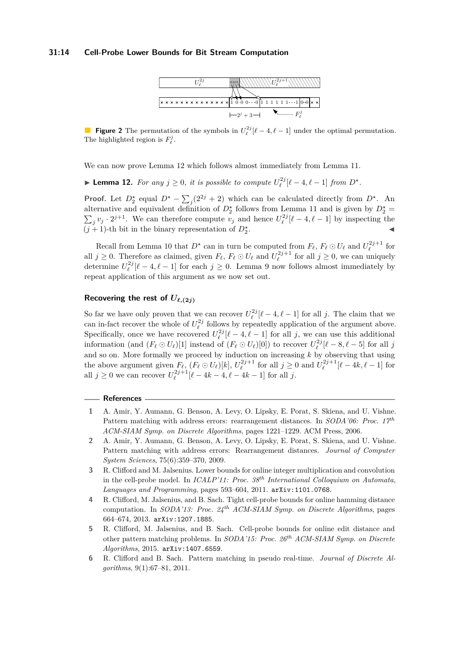## <span id="page-13-6"></span>**31:14 Cell-Probe Lower Bounds for Bit Stream Computation**



**Figure 2** The permutation of the symbols in  $U_{\ell}^{2j}[\ell-4,\ell-1]$  under the optimal permutation. The highlighted region is  $F^j_\ell$ .

We can now prove Lemma [12](#page-13-7) which follows almost immediately from Lemma [11.](#page-12-1)

<span id="page-13-7"></span>▶ **Lemma 12.** *For any*  $j \geq 0$ *, it is possible to compute*  $U_{\ell}^{2j}[\ell-4, \ell-1]$  *from*  $D^*$ *.* 

**Proof.** Let  $D_2^*$  equal  $D^* - \sum_j (2^{2j} + 2)$  which can be calculated directly from  $D^*$ . An alternative and equivalent definition of  $D_2^*$  follows from Lemma [11](#page-12-1) and is given by  $D_2^*$  $\sum_j v_j \cdot 2^{j+1}$ . We can therefore compute  $v_j$  and hence  $U_{\ell}^{2j}[\ell-4,\ell-1]$  by inspecting the  $(j + 1)$ -th bit in the binary representation of  $D_2^*$ . John Police and The Company of the Company of

Recall from Lemma [10](#page-12-0) that  $D^*$  can in turn be computed from  $F_\ell$ ,  $F_\ell \odot U_\ell$  and  $U_\ell^{2j+1}$  for all  $j \geq 0$ . Therefore as claimed, given  $F_\ell$ ,  $F_\ell \odot U_\ell$  and  $U_\ell^{2j+1}$  for all  $j \geq 0$ , we can uniquely determine  $U_{\ell}^{2j}[\ell-4,\ell-1]$  for each  $j \geq 0$ . Lemma [9](#page-10-0) now follows almost immediately by repeat application of this argument as we now set out.

# **Recovering the rest of**  $U_{\ell,(2i)}$

So far we have only proven that we can recover  $U_{\ell}^{2j}[\ell-4,\ell-1]$  for all *j*. The claim that we can in-fact recover the whole of  $U_{\ell}^{2j}$  follows by repeatedly application of the argument above. Specifically, once we have recovered  $U_{\ell}^{2j}[\ell-4,\ell-1]$  for all *j*, we can use this additional information (and  $(F_\ell \odot U_\ell)[1]$  instead of  $(F_\ell \odot U_\ell)[0]$ ) to recover  $U_\ell^{2j}[\ell - 8, \ell - 5]$  for all *j* and so on. More formally we proceed by induction on increasing *k* by observing that using the above argument given  $F_{\ell}$ ,  $(F_{\ell} \odot U_{\ell})[k]$ ,  $U_{\ell}^{2j+1}$  for all  $j \geq 0$  and  $U_{\ell}^{2j+1}[\ell - 4k, \ell - 1]$  for all  $j \ge 0$  we can recover  $U_{\ell}^{2j+1}[\ell - 4k - 4, \ell - 4k - 1]$  for all  $j$ .

# **References**

- <span id="page-13-3"></span>**1** A. Amir, Y. Aumann, G. Benson, A. Levy, O. Lipsky, E. Porat, S. Skiena, and U. Vishne. Pattern matching with address errors: rearrangement distances. In *SODA'06: Proc. 17th ACM-SIAM Symp. on Discrete Algorithms*, pages 1221–1229. ACM Press, 2006.
- <span id="page-13-4"></span>**2** A. Amir, Y. Aumann, G. Benson, A. Levy, O. Lipsky, E. Porat, S. Skiena, and U. Vishne. Pattern matching with address errors: Rearrangement distances. *Journal of Computer System Sciences*, 75(6):359–370, 2009.
- <span id="page-13-0"></span>**3** R. Clifford and M. Jalsenius. Lower bounds for online integer multiplication and convolution in the cell-probe model. In *ICALP'11: Proc. 38th International Colloquium on Automata, Languages and Programming*, pages 593–604, 2011. [arXiv:1101.0768](http://arxiv.org/abs/1101.0768).
- <span id="page-13-1"></span>**4** R. Clifford, M. Jalsenius, and B. Sach. Tight cell-probe bounds for online hamming distance computation. In *SODA'13: Proc. 24th ACM-SIAM Symp. on Discrete Algorithms*, pages 664–674, 2013. [arXiv:1207.1885](http://arxiv.org/abs/1207.1885).
- <span id="page-13-2"></span>**5** R. Clifford, M. Jalsenius, and B. Sach. Cell-probe bounds for online edit distance and other pattern matching problems. In *SODA'15: Proc. 26th ACM-SIAM Symp. on Discrete Algorithms*, 2015. [arXiv:1407.6559](http://arxiv.org/abs/1407.6559).
- <span id="page-13-5"></span>**6** R. Clifford and B. Sach. Pattern matching in pseudo real-time. *Journal of Discrete Algorithms*, 9(1):67–81, 2011.